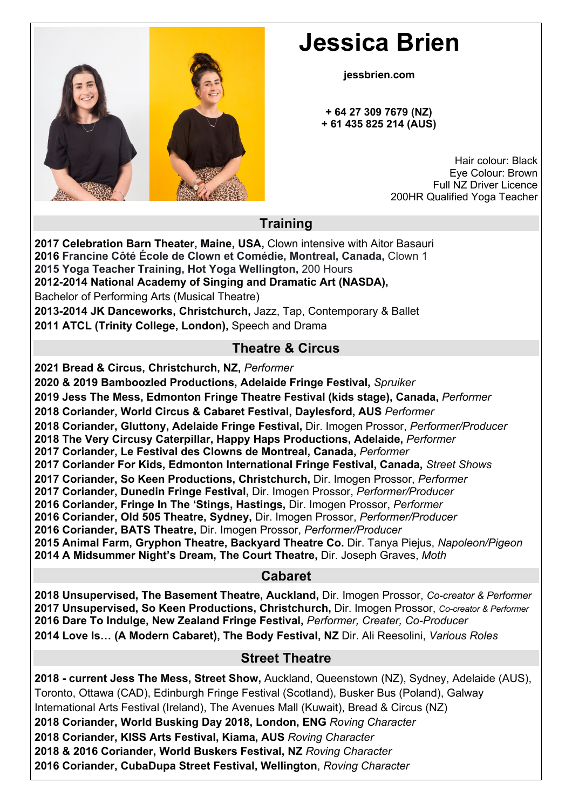

# **Jessica Brien**

 **jessbrien.com**

 **+ 64 27 309 7679 (NZ) + 61 435 825 214 (AUS)**

> Hair colour: Black Eye Colour: Brown Full NZ Driver Licence 200HR Qualified Yoga Teacher

## **Training**

**2017 Celebration Barn Theater, Maine, USA,** Clown intensive with Aitor Basauri **2016 Francine Côté École de Clown et Comédie, Montreal, Canada,** Clown 1 **2015 Yoga Teacher Training, Hot Yoga Wellington,** 200 Hours **2012-2014 National Academy of Singing and Dramatic Art (NASDA),**  Bachelor of Performing Arts (Musical Theatre)

**2013-2014 JK Danceworks, Christchurch,** Jazz, Tap, Contemporary & Ballet **2011 ATCL (Trinity College, London),** Speech and Drama

## **Theatre & Circus**

**2021 Bread & Circus, Christchurch, NZ,** *Performer*

**2020 & 2019 Bamboozled Productions, Adelaide Fringe Festival,** *Spruiker*

**2019 Jess The Mess, Edmonton Fringe Theatre Festival (kids stage), Canada,** *Performer*

**2018 Coriander, World Circus & Cabaret Festival, Daylesford, AUS** *Performer*

**2018 Coriander, Gluttony, Adelaide Fringe Festival,** Dir. Imogen Prossor, *Performer/Producer*

**2018 The Very Circusy Caterpillar, Happy Haps Productions, Adelaide,** *Performer*

**2017 Coriander, Le Festival des Clowns de Montreal, Canada,** *Performer*

**2017 Coriander For Kids, Edmonton International Fringe Festival, Canada,** *Street Shows*

**2017 Coriander, So Keen Productions, Christchurch,** Dir. Imogen Prossor, *Performer*

**2017 Coriander, Dunedin Fringe Festival,** Dir. Imogen Prossor, *Performer/Producer*

**2016 Coriander, Fringe In The 'Stings, Hastings,** Dir. Imogen Prossor, *Performer*

**2016 Coriander, Old 505 Theatre, Sydney,** Dir. Imogen Prossor, *Performer/Producer*

**2016 Coriander, BATS Theatre,** Dir. Imogen Prossor, *Performer/Producer*

**2015 Animal Farm, Gryphon Theatre, Backyard Theatre Co.** Dir. Tanya Piejus, *Napoleon/Pigeon* **2014 A Midsummer Night's Dream, The Court Theatre,** Dir. Joseph Graves, *Moth*

#### **Cabaret**

**2018 Unsupervised, The Basement Theatre, Auckland,** Dir. Imogen Prossor, *Co-creator & Performer* **2017 Unsupervised, So Keen Productions, Christchurch,** Dir. Imogen Prossor, *Co-creator & Performer* **2016 Dare To Indulge, New Zealand Fringe Festival,** *Performer, Creater, Co-Producer* **2014 Love Is… (A Modern Cabaret), The Body Festival, NZ** Dir. Ali Reesolini, *Various Roles*

## **Street Theatre**

**2018 - current Jess The Mess, Street Show,** Auckland, Queenstown (NZ), Sydney, Adelaide (AUS), Toronto, Ottawa (CAD), Edinburgh Fringe Festival (Scotland), Busker Bus (Poland), Galway International Arts Festival (Ireland), The Avenues Mall (Kuwait), Bread & Circus (NZ) **2018 Coriander, World Busking Day 2018, London, ENG** *Roving Character* **2018 Coriander, KISS Arts Festival, Kiama, AUS** *Roving Character* **2018 & 2016 Coriander, World Buskers Festival, NZ** *Roving Character* **2016 Coriander, CubaDupa Street Festival, Wellington**, *Roving Character*